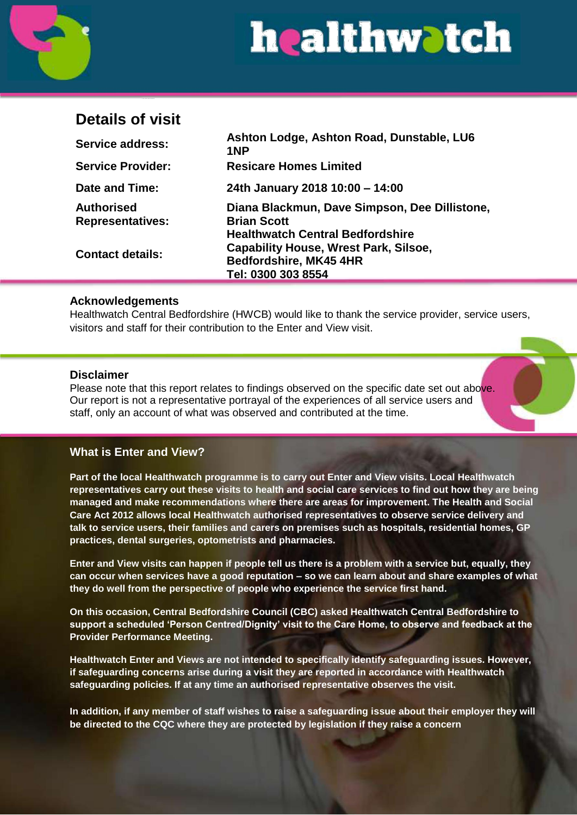

# **Details of visit**

| <b>Service address:</b>                      | Ashton Lodge, Ashton Road, Dunstable, LU6<br>1NP                                                                  |
|----------------------------------------------|-------------------------------------------------------------------------------------------------------------------|
| <b>Service Provider:</b>                     | <b>Resicare Homes Limited</b>                                                                                     |
| Date and Time:                               | 24th January 2018 10:00 - 14:00                                                                                   |
| <b>Authorised</b><br><b>Representatives:</b> | Diana Blackmun, Dave Simpson, Dee Dillistone,<br><b>Brian Scott</b>                                               |
| <b>Contact details:</b>                      | <b>Healthwatch Central Bedfordshire</b><br><b>Capability House, Wrest Park, Silsoe,</b><br>Bedfordshire, MK45 4HR |
|                                              | Tel: 0300 303 8554                                                                                                |

### **Acknowledgements**

Healthwatch Central Bedfordshire (HWCB) would like to thank the service provider, service users, visitors and staff for their contribution to the Enter and View visit.

#### **Disclaimer**

Please note that this report relates to findings observed on the specific date set out above. Our report is not a representative portrayal of the experiences of all service users and staff, only an account of what was observed and contributed at the time.

# **What is Enter and View?**

**Part of the local Healthwatch programme is to carry out Enter and View visits. Local Healthwatch representatives carry out these visits to health and social care services to find out how they are being managed and make recommendations where there are areas for improvement. The Health and Social Care Act 2012 allows local Healthwatch authorised representatives to observe service delivery and talk to service users, their families and carers on premises such as hospitals, residential homes, GP practices, dental surgeries, optometrists and pharmacies.**

**Enter and View visits can happen if people tell us there is a problem with a service but, equally, they can occur when services have a good reputation – so we can learn about and share examples of what they do well from the perspective of people who experience the service first hand.**

**On this occasion, Central Bedfordshire Council (CBC) asked Healthwatch Central Bedfordshire to support a scheduled 'Person Centred/Dignity' visit to the Care Home, to observe and feedback at the Provider Performance Meeting.**

**Healthwatch Enter and Views are not intended to specifically identify safeguarding issues. However, if safeguarding concerns arise during a visit they are reported in accordance with Healthwatch safeguarding policies. If at any time an authorised representative observes the visit.**

**In addition, if any member of staff wishes to raise a safeguarding issue about their employer they will be directed to the CQC where they are protected by legislation if they raise a concern**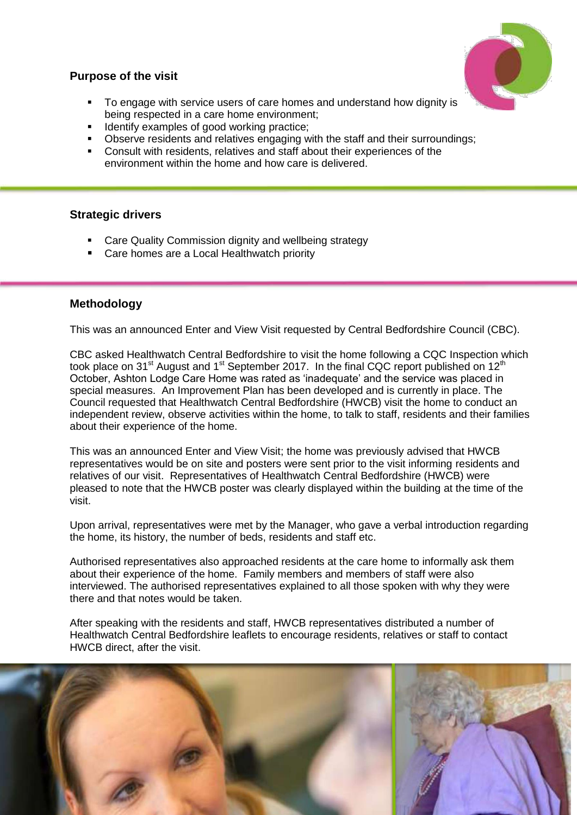# **Purpose of the visit**

- To engage with service users of care homes and understand how dignity is being respected in a care home environment;
- **IDENTIFY EXAMPLES OF GOOD WORKING PRACTICE:**
- **Dbserve residents and relatives engaging with the staff and their surroundings;**
- Consult with residents, relatives and staff about their experiences of the environment within the home and how care is delivered.

# **Strategic drivers**

- Care Quality Commission dignity and wellbeing strategy
- Care homes are a Local Healthwatch priority

# **Methodology**

This was an announced Enter and View Visit requested by Central Bedfordshire Council (CBC).

CBC asked Healthwatch Central Bedfordshire to visit the home following a CQC Inspection which took place on 31<sup>st</sup> August and 1<sup>st</sup> September 2017. In the final CQC report published on 12<sup>th</sup> October, Ashton Lodge Care Home was rated as 'inadequate' and the service was placed in special measures. An Improvement Plan has been developed and is currently in place. The Council requested that Healthwatch Central Bedfordshire (HWCB) visit the home to conduct an independent review, observe activities within the home, to talk to staff, residents and their families about their experience of the home.

This was an announced Enter and View Visit; the home was previously advised that HWCB representatives would be on site and posters were sent prior to the visit informing residents and relatives of our visit. Representatives of Healthwatch Central Bedfordshire (HWCB) were pleased to note that the HWCB poster was clearly displayed within the building at the time of the visit.

Upon arrival, representatives were met by the Manager, who gave a verbal introduction regarding the home, its history, the number of beds, residents and staff etc.

Authorised representatives also approached residents at the care home to informally ask them about their experience of the home. Family members and members of staff were also interviewed. The authorised representatives explained to all those spoken with why they were there and that notes would be taken.

After speaking with the residents and staff, HWCB representatives distributed a number of Healthwatch Central Bedfordshire leaflets to encourage residents, relatives or staff to contact HWCB direct, after the visit.

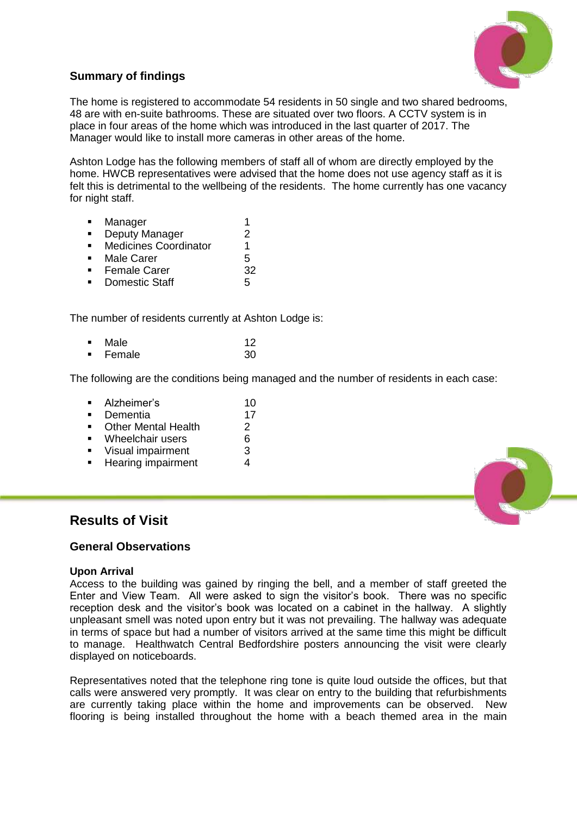

# **Summary of findings**

The home is registered to accommodate 54 residents in 50 single and two shared bedrooms, 48 are with en-suite bathrooms. These are situated over two floors. A CCTV system is in place in four areas of the home which was introduced in the last quarter of 2017. The Manager would like to install more cameras in other areas of the home.

Ashton Lodge has the following members of staff all of whom are directly employed by the home. HWCB representatives were advised that the home does not use agency staff as it is felt this is detrimental to the wellbeing of the residents. The home currently has one vacancy for night staff.

- **Manager** 1
- **Deputy Manager** 2
- Medicines Coordinator 1
- Male Carer 5
- Female Carer 32
- Domestic Staff 5

The number of residents currently at Ashton Lodge is:

Male 12<br>Female 30 **Female** 

The following are the conditions being managed and the number of residents in each case:

- Alzheimer's 10
- Dementia 17
- Other Mental Health 2<br>• Wheelchair users 6
- Wheelchair users 6
- Visual impairment 3
- Hearing impairment 4

# **Results of Visit**

#### **General Observations**

#### **Upon Arrival**

Access to the building was gained by ringing the bell, and a member of staff greeted the Enter and View Team. All were asked to sign the visitor's book. There was no specific reception desk and the visitor's book was located on a cabinet in the hallway. A slightly unpleasant smell was noted upon entry but it was not prevailing. The hallway was adequate in terms of space but had a number of visitors arrived at the same time this might be difficult to manage. Healthwatch Central Bedfordshire posters announcing the visit were clearly displayed on noticeboards.

Representatives noted that the telephone ring tone is quite loud outside the offices, but that calls were answered very promptly. It was clear on entry to the building that refurbishments are currently taking place within the home and improvements can be observed. New flooring is being installed throughout the home with a beach themed area in the main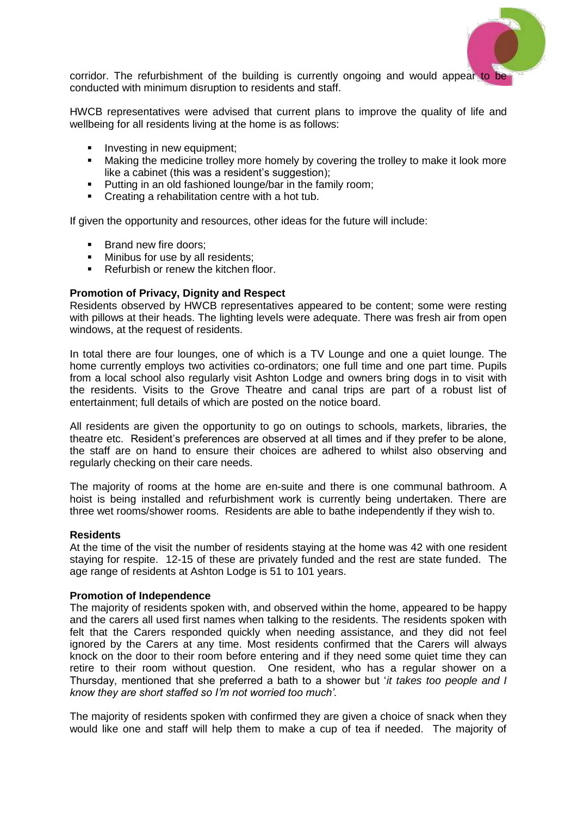

corridor. The refurbishment of the building is currently ongoing and would appear to be conducted with minimum disruption to residents and staff.

HWCB representatives were advised that current plans to improve the quality of life and wellbeing for all residents living at the home is as follows:

- Investing in new equipment;
- Making the medicine trolley more homely by covering the trolley to make it look more like a cabinet (this was a resident's suggestion);
- **Putting in an old fashioned lounge/bar in the family room;**
- **Creating a rehabilitation centre with a hot tub.**

If given the opportunity and resources, other ideas for the future will include:

- **Brand new fire doors;**<br>**Brand new fire use by all**
- Minibus for use by all residents;
- Refurbish or renew the kitchen floor.

#### **Promotion of Privacy, Dignity and Respect**

Residents observed by HWCB representatives appeared to be content; some were resting with pillows at their heads. The lighting levels were adequate. There was fresh air from open windows, at the request of residents.

In total there are four lounges, one of which is a TV Lounge and one a quiet lounge. The home currently employs two activities co-ordinators; one full time and one part time. Pupils from a local school also regularly visit Ashton Lodge and owners bring dogs in to visit with the residents. Visits to the Grove Theatre and canal trips are part of a robust list of entertainment; full details of which are posted on the notice board.

All residents are given the opportunity to go on outings to schools, markets, libraries, the theatre etc. Resident's preferences are observed at all times and if they prefer to be alone, the staff are on hand to ensure their choices are adhered to whilst also observing and regularly checking on their care needs.

The majority of rooms at the home are en-suite and there is one communal bathroom. A hoist is being installed and refurbishment work is currently being undertaken. There are three wet rooms/shower rooms. Residents are able to bathe independently if they wish to.

#### **Residents**

At the time of the visit the number of residents staying at the home was 42 with one resident staying for respite. 12-15 of these are privately funded and the rest are state funded. The age range of residents at Ashton Lodge is 51 to 101 years.

#### **Promotion of Independence**

The majority of residents spoken with, and observed within the home, appeared to be happy and the carers all used first names when talking to the residents. The residents spoken with felt that the Carers responded quickly when needing assistance, and they did not feel ignored by the Carers at any time. Most residents confirmed that the Carers will always knock on the door to their room before entering and if they need some quiet time they can retire to their room without question. One resident, who has a regular shower on a Thursday, mentioned that she preferred a bath to a shower but '*it takes too people and I know they are short staffed so I'm not worried too much'.*

The majority of residents spoken with confirmed they are given a choice of snack when they would like one and staff will help them to make a cup of tea if needed. The majority of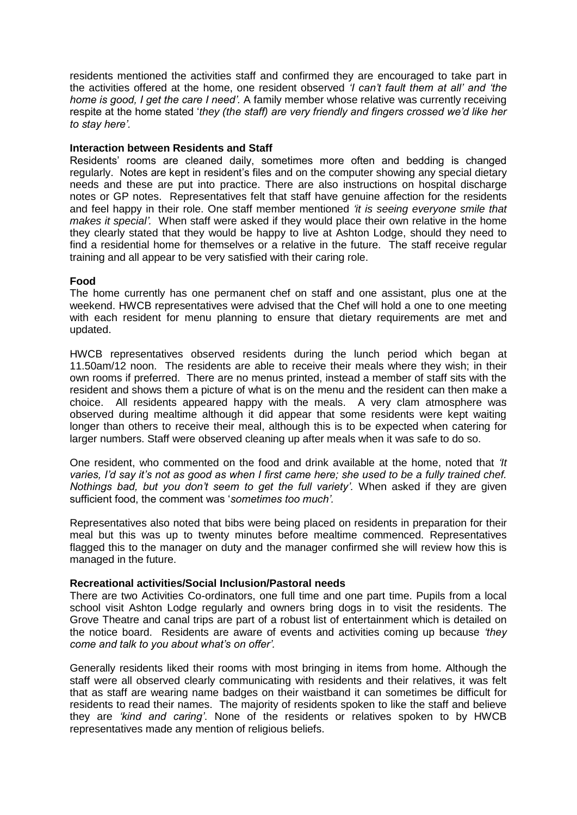residents mentioned the activities staff and confirmed they are encouraged to take part in the activities offered at the home, one resident observed *'I can't fault them at all' and 'the home is good, I get the care I need'.* A family member whose relative was currently receiving respite at the home stated '*they (the staff) are very friendly and fingers crossed we'd like her to stay here'.*

#### **Interaction between Residents and Staff**

Residents' rooms are cleaned daily, sometimes more often and bedding is changed regularly. Notes are kept in resident's files and on the computer showing any special dietary needs and these are put into practice. There are also instructions on hospital discharge notes or GP notes. Representatives felt that staff have genuine affection for the residents and feel happy in their role. One staff member mentioned *'it is seeing everyone smile that makes it special'.* When staff were asked if they would place their own relative in the home they clearly stated that they would be happy to live at Ashton Lodge, should they need to find a residential home for themselves or a relative in the future. The staff receive regular training and all appear to be very satisfied with their caring role.

#### **Food**

The home currently has one permanent chef on staff and one assistant, plus one at the weekend. HWCB representatives were advised that the Chef will hold a one to one meeting with each resident for menu planning to ensure that dietary requirements are met and updated.

HWCB representatives observed residents during the lunch period which began at 11.50am/12 noon. The residents are able to receive their meals where they wish; in their own rooms if preferred. There are no menus printed, instead a member of staff sits with the resident and shows them a picture of what is on the menu and the resident can then make a choice. All residents appeared happy with the meals. A very clam atmosphere was observed during mealtime although it did appear that some residents were kept waiting longer than others to receive their meal, although this is to be expected when catering for larger numbers. Staff were observed cleaning up after meals when it was safe to do so.

One resident, who commented on the food and drink available at the home, noted that *'It varies, I'd say it's not as good as when I first came here; she used to be a fully trained chef. Nothings bad, but you don't seem to get the full variety'.* When asked if they are given sufficient food, the comment was '*sometimes too much'.* 

Representatives also noted that bibs were being placed on residents in preparation for their meal but this was up to twenty minutes before mealtime commenced. Representatives flagged this to the manager on duty and the manager confirmed she will review how this is managed in the future.

#### **Recreational activities/Social Inclusion/Pastoral needs**

There are two Activities Co-ordinators, one full time and one part time. Pupils from a local school visit Ashton Lodge regularly and owners bring dogs in to visit the residents. The Grove Theatre and canal trips are part of a robust list of entertainment which is detailed on the notice board. Residents are aware of events and activities coming up because *'they come and talk to you about what's on offer'.*

Generally residents liked their rooms with most bringing in items from home. Although the staff were all observed clearly communicating with residents and their relatives, it was felt that as staff are wearing name badges on their waistband it can sometimes be difficult for residents to read their names. The majority of residents spoken to like the staff and believe they are *'kind and caring'*. None of the residents or relatives spoken to by HWCB representatives made any mention of religious beliefs.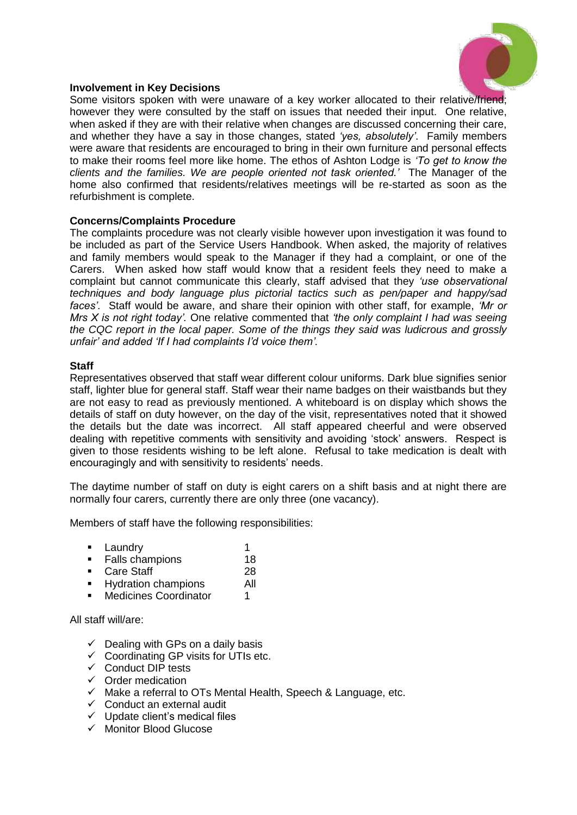

#### **Involvement in Key Decisions**

Some visitors spoken with were unaware of a key worker allocated to their relative/friend; however they were consulted by the staff on issues that needed their input. One relative, when asked if they are with their relative when changes are discussed concerning their care, and whether they have a say in those changes, stated *'yes, absolutely'*. Family members were aware that residents are encouraged to bring in their own furniture and personal effects to make their rooms feel more like home. The ethos of Ashton Lodge is *'To get to know the clients and the families. We are people oriented not task oriented.'* The Manager of the home also confirmed that residents/relatives meetings will be re-started as soon as the refurbishment is complete.

#### **Concerns/Complaints Procedure**

The complaints procedure was not clearly visible however upon investigation it was found to be included as part of the Service Users Handbook. When asked, the majority of relatives and family members would speak to the Manager if they had a complaint, or one of the Carers. When asked how staff would know that a resident feels they need to make a complaint but cannot communicate this clearly, staff advised that they *'use observational techniques and body language plus pictorial tactics such as pen/paper and happy/sad faces'*. Staff would be aware, and share their opinion with other staff, for example, *'Mr or Mrs X is not right today'.* One relative commented that *'the only complaint I had was seeing the CQC report in the local paper. Some of the things they said was ludicrous and grossly unfair' and added 'If I had complaints I'd voice them'.*

#### **Staff**

Representatives observed that staff wear different colour uniforms. Dark blue signifies senior staff, lighter blue for general staff. Staff wear their name badges on their waistbands but they are not easy to read as previously mentioned. A whiteboard is on display which shows the details of staff on duty however, on the day of the visit, representatives noted that it showed the details but the date was incorrect. All staff appeared cheerful and were observed dealing with repetitive comments with sensitivity and avoiding 'stock' answers. Respect is given to those residents wishing to be left alone. Refusal to take medication is dealt with encouragingly and with sensitivity to residents' needs.

The daytime number of staff on duty is eight carers on a shift basis and at night there are normally four carers, currently there are only three (one vacancy).

Members of staff have the following responsibilities:

- **Laundry** 1
- Falls champions 18
- Care Staff 28
- **Hydration champions** All
- **Medicines Coordinator** 1

All staff will/are:

- $\checkmark$  Dealing with GPs on a daily basis
- $\checkmark$  Coordinating GP visits for UTIs etc.
- $\checkmark$  Conduct DIP tests
- $\checkmark$  Order medication
- $\checkmark$  Make a referral to OTs Mental Health, Speech & Language, etc.
- $\checkmark$  Conduct an external audit
- $\checkmark$  Update client's medical files
- $\checkmark$  Monitor Blood Glucose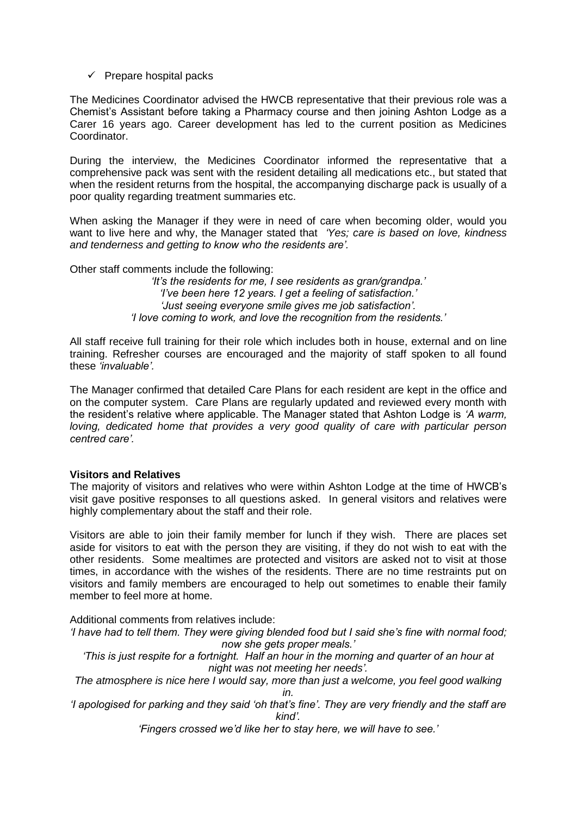$\checkmark$  Prepare hospital packs

The Medicines Coordinator advised the HWCB representative that their previous role was a Chemist's Assistant before taking a Pharmacy course and then joining Ashton Lodge as a Carer 16 years ago. Career development has led to the current position as Medicines Coordinator.

During the interview, the Medicines Coordinator informed the representative that a comprehensive pack was sent with the resident detailing all medications etc., but stated that when the resident returns from the hospital, the accompanying discharge pack is usually of a poor quality regarding treatment summaries etc.

When asking the Manager if they were in need of care when becoming older, would you want to live here and why, the Manager stated that *'Yes; care is based on love, kindness and tenderness and getting to know who the residents are'.*

Other staff comments include the following:

*'It's the residents for me, I see residents as gran/grandpa.' 'I've been here 12 years. I get a feeling of satisfaction.' 'Just seeing everyone smile gives me job satisfaction'. 'I love coming to work, and love the recognition from the residents.'*

All staff receive full training for their role which includes both in house, external and on line training. Refresher courses are encouraged and the majority of staff spoken to all found these *'invaluable'.* 

The Manager confirmed that detailed Care Plans for each resident are kept in the office and on the computer system. Care Plans are regularly updated and reviewed every month with the resident's relative where applicable. The Manager stated that Ashton Lodge is *'A warm, loving, dedicated home that provides a very good quality of care with particular person centred care'.* 

#### **Visitors and Relatives**

The majority of visitors and relatives who were within Ashton Lodge at the time of HWCB's visit gave positive responses to all questions asked. In general visitors and relatives were highly complementary about the staff and their role.

Visitors are able to join their family member for lunch if they wish. There are places set aside for visitors to eat with the person they are visiting, if they do not wish to eat with the other residents. Some mealtimes are protected and visitors are asked not to visit at those times, in accordance with the wishes of the residents. There are no time restraints put on visitors and family members are encouraged to help out sometimes to enable their family member to feel more at home.

Additional comments from relatives include:

*'I have had to tell them. They were giving blended food but I said she's fine with normal food; now she gets proper meals.'*

*'This is just respite for a fortnight. Half an hour in the morning and quarter of an hour at night was not meeting her needs'.*

*The atmosphere is nice here I would say, more than just a welcome, you feel good walking in.*

*'I apologised for parking and they said 'oh that's fine'. They are very friendly and the staff are kind'.*

*'Fingers crossed we'd like her to stay here, we will have to see.'*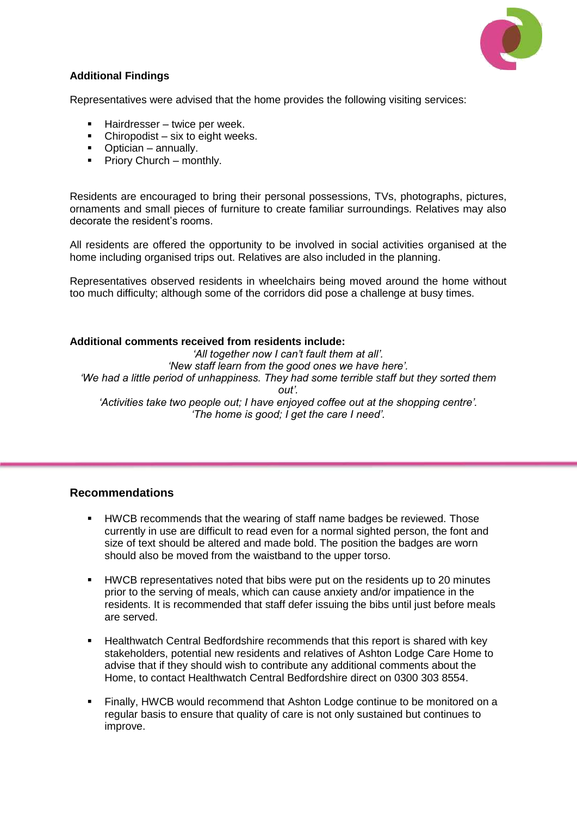

# **Additional Findings**

Representatives were advised that the home provides the following visiting services:

- Hairdresser twice per week.
- $\blacksquare$  Chiropodist six to eight weeks.
- Optician annually.
- $\blacksquare$  Priory Church monthly.

Residents are encouraged to bring their personal possessions, TVs, photographs, pictures, ornaments and small pieces of furniture to create familiar surroundings. Relatives may also decorate the resident's rooms.

All residents are offered the opportunity to be involved in social activities organised at the home including organised trips out. Relatives are also included in the planning.

Representatives observed residents in wheelchairs being moved around the home without too much difficulty; although some of the corridors did pose a challenge at busy times.

#### **Additional comments received from residents include:**

*'All together now I can't fault them at all'. 'New staff learn from the good ones we have here'. 'We had a little period of unhappiness. They had some terrible staff but they sorted them out'. 'Activities take two people out; I have enjoyed coffee out at the shopping centre'. 'The home is good; I get the care I need'.*

#### **Recommendations**

- HWCB recommends that the wearing of staff name badges be reviewed. Those currently in use are difficult to read even for a normal sighted person, the font and size of text should be altered and made bold. The position the badges are worn should also be moved from the waistband to the upper torso.
- **HWCB representatives noted that bibs were put on the residents up to 20 minutes** prior to the serving of meals, which can cause anxiety and/or impatience in the residents. It is recommended that staff defer issuing the bibs until just before meals are served.
- Healthwatch Central Bedfordshire recommends that this report is shared with key stakeholders, potential new residents and relatives of Ashton Lodge Care Home to advise that if they should wish to contribute any additional comments about the Home, to contact Healthwatch Central Bedfordshire direct on 0300 303 8554.
- **Finally, HWCB would recommend that Ashton Lodge continue to be monitored on a** regular basis to ensure that quality of care is not only sustained but continues to improve.